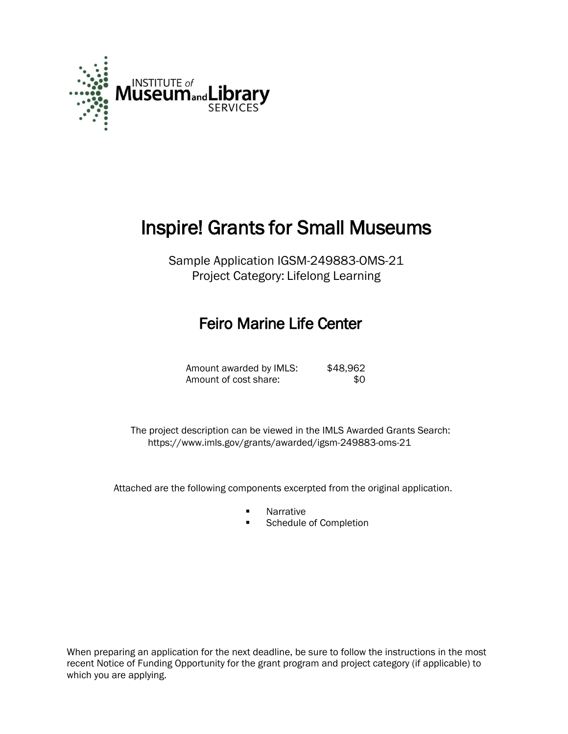

# Inspire! Grants for Small Museums

Sample Application IGSM-249883-OMS-21 Project Category: Lifelong Learning

## Feiro Marine Life Center

| Amount awarded by IMLS: | \$48,962 |
|-------------------------|----------|
| Amount of cost share:   | \$0      |

 The project description can be viewed in the IMLS Awarded Grants Search: <https://www.imls.gov/grants/awarded/igsm-249883-oms-21>

Attached are the following components excerpted from the original application.

- Narrative
- **Schedule of Completion**

When preparing an application for the next deadline, be sure to follow the instructions in the most recent Notice of Funding Opportunity for the grant program and project category (if applicable) to which you are applying.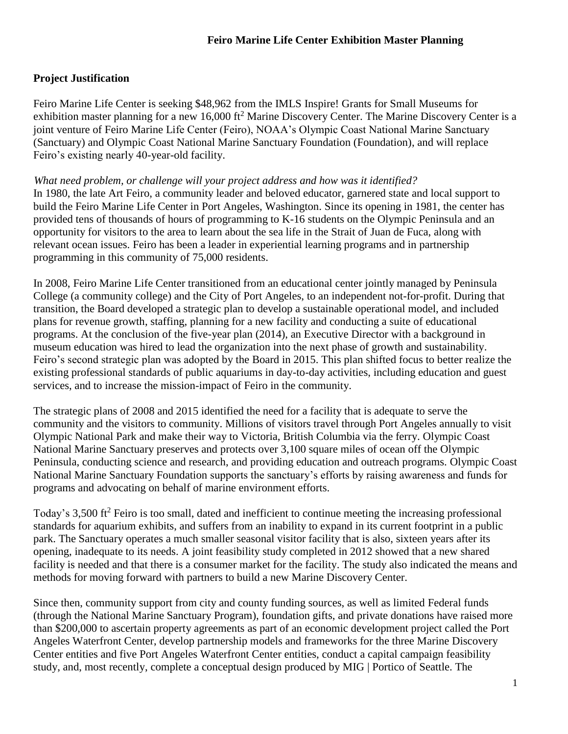## **Project Justification**

Feiro Marine Life Center is seeking \$48,962 from the IMLS Inspire! Grants for Small Museums for exhibition master planning for a new 16,000 ft<sup>2</sup> Marine Discovery Center. The Marine Discovery Center is a joint venture of Feiro Marine Life Center (Feiro), NOAA's Olympic Coast National Marine Sanctuary (Sanctuary) and Olympic Coast National Marine Sanctuary Foundation (Foundation), and will replace Feiro's existing nearly 40-year-old facility.

#### *What need problem, or challenge will your project address and how was it identified?*

In 1980, the late Art Feiro, a community leader and beloved educator, garnered state and local support to build the Feiro Marine Life Center in Port Angeles, Washington. Since its opening in 1981, the center has provided tens of thousands of hours of programming to K-16 students on the Olympic Peninsula and an opportunity for visitors to the area to learn about the sea life in the Strait of Juan de Fuca, along with relevant ocean issues. Feiro has been a leader in experiential learning programs and in partnership programming in this community of 75,000 residents.

In 2008, Feiro Marine Life Center transitioned from an educational center jointly managed by Peninsula College (a community college) and the City of Port Angeles, to an independent not-for-profit. During that transition, the Board developed a strategic plan to develop a sustainable operational model, and included plans for revenue growth, staffing, planning for a new facility and conducting a suite of educational programs. At the conclusion of the five-year plan (2014), an Executive Director with a background in museum education was hired to lead the organization into the next phase of growth and sustainability. Feiro's second strategic plan was adopted by the Board in 2015. This plan shifted focus to better realize the existing professional standards of public aquariums in day-to-day activities, including education and guest services, and to increase the mission-impact of Feiro in the community.

The strategic plans of 2008 and 2015 identified the need for a facility that is adequate to serve the community and the visitors to community. Millions of visitors travel through Port Angeles annually to visit Olympic National Park and make their way to Victoria, British Columbia via the ferry. Olympic Coast National Marine Sanctuary preserves and protects over 3,100 square miles of ocean off the Olympic Peninsula, conducting science and research, and providing education and outreach programs. Olympic Coast National Marine Sanctuary Foundation supports the sanctuary's efforts by raising awareness and funds for programs and advocating on behalf of marine environment efforts.

Today's 3,500 ft<sup>2</sup> Feiro is too small, dated and inefficient to continue meeting the increasing professional standards for aquarium exhibits, and suffers from an inability to expand in its current footprint in a public park. The Sanctuary operates a much smaller seasonal visitor facility that is also, sixteen years after its opening, inadequate to its needs. A joint feasibility study completed in 2012 showed that a new shared facility is needed and that there is a consumer market for the facility. The study also indicated the means and methods for moving forward with partners to build a new Marine Discovery Center.

Since then, community support from city and county funding sources, as well as limited Federal funds (through the National Marine Sanctuary Program), foundation gifts, and private donations have raised more than \$200,000 to ascertain property agreements as part of an economic development project called the Port Angeles Waterfront Center, develop partnership models and frameworks for the three Marine Discovery Center entities and five Port Angeles Waterfront Center entities, conduct a capital campaign feasibility study, and, most recently, complete a conceptual design produced by MIG | Portico of Seattle. The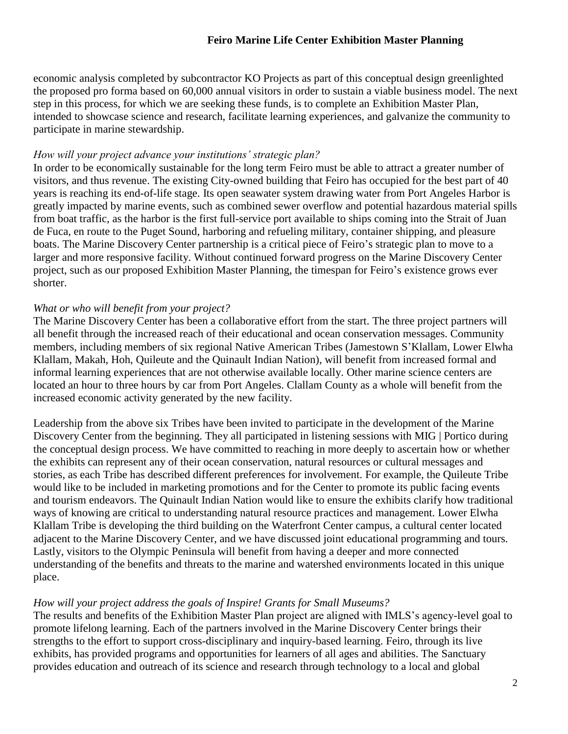#### **Feiro Marine Life Center Exhibition Master Planning**

economic analysis completed by subcontractor KO Projects as part of this conceptual design greenlighted the proposed pro forma based on 60,000 annual visitors in order to sustain a viable business model. The next step in this process, for which we are seeking these funds, is to complete an Exhibition Master Plan, intended to showcase science and research, facilitate learning experiences, and galvanize the community to participate in marine stewardship.

#### *How will your project advance your institutions' strategic plan?*

In order to be economically sustainable for the long term Feiro must be able to attract a greater number of visitors, and thus revenue. The existing City-owned building that Feiro has occupied for the best part of 40 years is reaching its end-of-life stage. Its open seawater system drawing water from Port Angeles Harbor is greatly impacted by marine events, such as combined sewer overflow and potential hazardous material spills from boat traffic, as the harbor is the first full-service port available to ships coming into the Strait of Juan de Fuca, en route to the Puget Sound, harboring and refueling military, container shipping, and pleasure boats. The Marine Discovery Center partnership is a critical piece of Feiro's strategic plan to move to a larger and more responsive facility. Without continued forward progress on the Marine Discovery Center project, such as our proposed Exhibition Master Planning, the timespan for Feiro's existence grows ever shorter.

#### *What or who will benefit from your project?*

The Marine Discovery Center has been a collaborative effort from the start. The three project partners will all benefit through the increased reach of their educational and ocean conservation messages. Community members, including members of six regional Native American Tribes (Jamestown S'Klallam, Lower Elwha Klallam, Makah, Hoh, Quileute and the Quinault Indian Nation), will benefit from increased formal and informal learning experiences that are not otherwise available locally. Other marine science centers are located an hour to three hours by car from Port Angeles. Clallam County as a whole will benefit from the increased economic activity generated by the new facility.

Leadership from the above six Tribes have been invited to participate in the development of the Marine Discovery Center from the beginning. They all participated in listening sessions with MIG | Portico during the conceptual design process. We have committed to reaching in more deeply to ascertain how or whether the exhibits can represent any of their ocean conservation, natural resources or cultural messages and stories, as each Tribe has described different preferences for involvement. For example, the Quileute Tribe would like to be included in marketing promotions and for the Center to promote its public facing events and tourism endeavors. The Quinault Indian Nation would like to ensure the exhibits clarify how traditional ways of knowing are critical to understanding natural resource practices and management. Lower Elwha Klallam Tribe is developing the third building on the Waterfront Center campus, a cultural center located adjacent to the Marine Discovery Center, and we have discussed joint educational programming and tours. Lastly, visitors to the Olympic Peninsula will benefit from having a deeper and more connected understanding of the benefits and threats to the marine and watershed environments located in this unique place.

#### *How will your project address the goals of Inspire! Grants for Small Museums?*

The results and benefits of the Exhibition Master Plan project are aligned with IMLS's agency-level goal to promote lifelong learning. Each of the partners involved in the Marine Discovery Center brings their strengths to the effort to support cross-disciplinary and inquiry-based learning. Feiro, through its live exhibits, has provided programs and opportunities for learners of all ages and abilities. The Sanctuary provides education and outreach of its science and research through technology to a local and global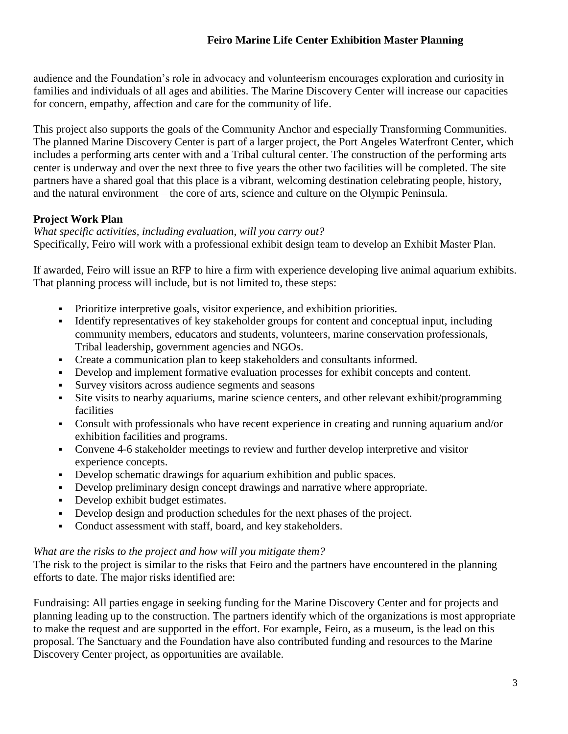audience and the Foundation's role in advocacy and volunteerism encourages exploration and curiosity in families and individuals of all ages and abilities. The Marine Discovery Center will increase our capacities for concern, empathy, affection and care for the community of life.

This project also supports the goals of the Community Anchor and especially Transforming Communities. The planned Marine Discovery Center is part of a larger project, the Port Angeles Waterfront Center, which includes a performing arts center with and a Tribal cultural center. The construction of the performing arts center is underway and over the next three to five years the other two facilities will be completed. The site partners have a shared goal that this place is a vibrant, welcoming destination celebrating people, history, and the natural environment – the core of arts, science and culture on the Olympic Peninsula.

## **Project Work Plan**

*What specific activities, including evaluation, will you carry out?* Specifically, Feiro will work with a professional exhibit design team to develop an Exhibit Master Plan.

If awarded, Feiro will issue an RFP to hire a firm with experience developing live animal aquarium exhibits. That planning process will include, but is not limited to, these steps:

- Prioritize interpretive goals, visitor experience, and exhibition priorities.
- Identify representatives of key stakeholder groups for content and conceptual input, including community members, educators and students, volunteers, marine conservation professionals, Tribal leadership, government agencies and NGOs.
- Create a communication plan to keep stakeholders and consultants informed.
- Develop and implement formative evaluation processes for exhibit concepts and content.
- Survey visitors across audience segments and seasons
- Site visits to nearby aquariums, marine science centers, and other relevant exhibit/programming **facilities**
- Consult with professionals who have recent experience in creating and running aquarium and/or exhibition facilities and programs.
- Convene 4-6 stakeholder meetings to review and further develop interpretive and visitor experience concepts.
- Develop schematic drawings for aquarium exhibition and public spaces.
- Develop preliminary design concept drawings and narrative where appropriate.
- Develop exhibit budget estimates.
- Develop design and production schedules for the next phases of the project.
- Conduct assessment with staff, board, and key stakeholders.

#### *What are the risks to the project and how will you mitigate them?*

The risk to the project is similar to the risks that Feiro and the partners have encountered in the planning efforts to date. The major risks identified are:

Fundraising: All parties engage in seeking funding for the Marine Discovery Center and for projects and planning leading up to the construction. The partners identify which of the organizations is most appropriate to make the request and are supported in the effort. For example, Feiro, as a museum, is the lead on this proposal. The Sanctuary and the Foundation have also contributed funding and resources to the Marine Discovery Center project, as opportunities are available.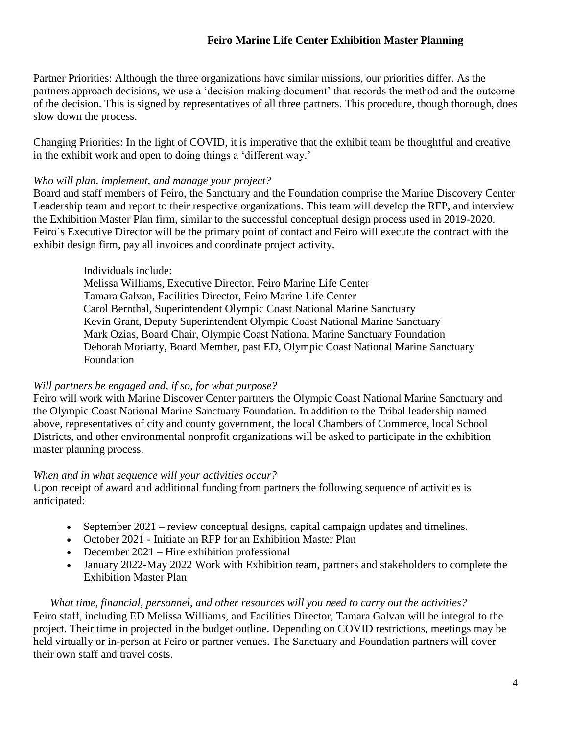#### **Feiro Marine Life Center Exhibition Master Planning**

Partner Priorities: Although the three organizations have similar missions, our priorities differ. As the partners approach decisions, we use a 'decision making document' that records the method and the outcome of the decision. This is signed by representatives of all three partners. This procedure, though thorough, does slow down the process.

Changing Priorities: In the light of COVID, it is imperative that the exhibit team be thoughtful and creative in the exhibit work and open to doing things a 'different way.'

#### *Who will plan, implement, and manage your project?*

Board and staff members of Feiro, the Sanctuary and the Foundation comprise the Marine Discovery Center Leadership team and report to their respective organizations. This team will develop the RFP, and interview the Exhibition Master Plan firm, similar to the successful conceptual design process used in 2019-2020. Feiro's Executive Director will be the primary point of contact and Feiro will execute the contract with the exhibit design firm, pay all invoices and coordinate project activity.

#### Individuals include:

Melissa Williams, Executive Director, Feiro Marine Life Center Tamara Galvan, Facilities Director, Feiro Marine Life Center Carol Bernthal, Superintendent Olympic Coast National Marine Sanctuary Kevin Grant, Deputy Superintendent Olympic Coast National Marine Sanctuary Mark Ozias, Board Chair, Olympic Coast National Marine Sanctuary Foundation Deborah Moriarty, Board Member, past ED, Olympic Coast National Marine Sanctuary Foundation

#### *Will partners be engaged and, if so, for what purpose?*

Feiro will work with Marine Discover Center partners the Olympic Coast National Marine Sanctuary and the Olympic Coast National Marine Sanctuary Foundation. In addition to the Tribal leadership named above, representatives of city and county government, the local Chambers of Commerce, local School Districts, and other environmental nonprofit organizations will be asked to participate in the exhibition master planning process.

#### *When and in what sequence will your activities occur?*

Upon receipt of award and additional funding from partners the following sequence of activities is anticipated:

- September 2021 review conceptual designs, capital campaign updates and timelines.
- October 2021 Initiate an RFP for an Exhibition Master Plan
- $\bullet$  December 2021 Hire exhibition professional
- January 2022-May 2022 Work with Exhibition team, partners and stakeholders to complete the Exhibition Master Plan

### *What time, financial, personnel, and other resources will you need to carry out the activities?*

Feiro staff, including ED Melissa Williams, and Facilities Director, Tamara Galvan will be integral to the project. Their time in projected in the budget outline. Depending on COVID restrictions, meetings may be held virtually or in-person at Feiro or partner venues. The Sanctuary and Foundation partners will cover their own staff and travel costs.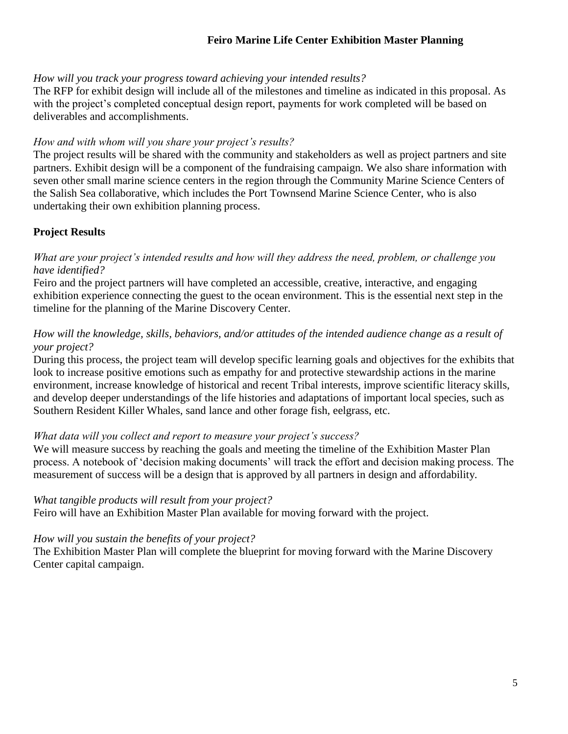#### **Feiro Marine Life Center Exhibition Master Planning**

#### *How will you track your progress toward achieving your intended results?*

The RFP for exhibit design will include all of the milestones and timeline as indicated in this proposal. As with the project's completed conceptual design report, payments for work completed will be based on deliverables and accomplishments.

#### *How and with whom will you share your project's results?*

The project results will be shared with the community and stakeholders as well as project partners and site partners. Exhibit design will be a component of the fundraising campaign. We also share information with seven other small marine science centers in the region through the Community Marine Science Centers of the Salish Sea collaborative, which includes the Port Townsend Marine Science Center, who is also undertaking their own exhibition planning process.

#### **Project Results**

#### *What are your project's intended results and how will they address the need, problem, or challenge you have identified?*

Feiro and the project partners will have completed an accessible, creative, interactive, and engaging exhibition experience connecting the guest to the ocean environment. This is the essential next step in the timeline for the planning of the Marine Discovery Center.

#### *How will the knowledge, skills, behaviors, and/or attitudes of the intended audience change as a result of your project?*

During this process, the project team will develop specific learning goals and objectives for the exhibits that look to increase positive emotions such as empathy for and protective stewardship actions in the marine environment, increase knowledge of historical and recent Tribal interests, improve scientific literacy skills, and develop deeper understandings of the life histories and adaptations of important local species, such as Southern Resident Killer Whales, sand lance and other forage fish, eelgrass, etc.

#### *What data will you collect and report to measure your project's success?*

We will measure success by reaching the goals and meeting the timeline of the Exhibition Master Plan process. A notebook of 'decision making documents' will track the effort and decision making process. The measurement of success will be a design that is approved by all partners in design and affordability*.* 

#### *What tangible products will result from your project?*

Feiro will have an Exhibition Master Plan available for moving forward with the project.

#### *How will you sustain the benefits of your project?*

The Exhibition Master Plan will complete the blueprint for moving forward with the Marine Discovery Center capital campaign.